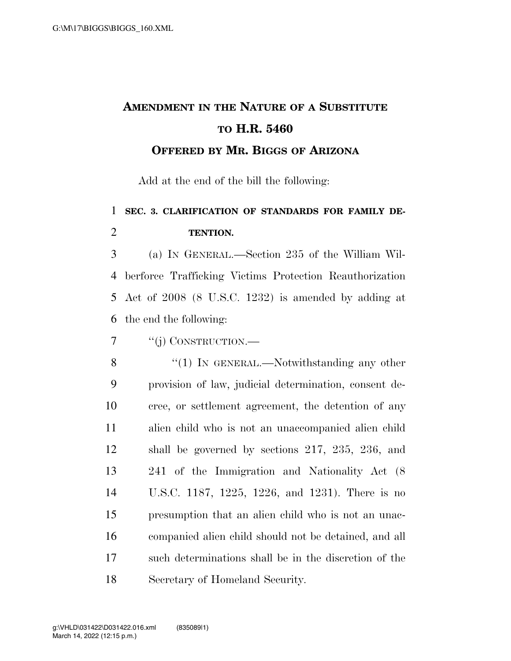## **AMENDMENT IN THE NATURE OF A SUBSTITUTE TO H.R. 5460**

**OFFERED BY MR. BIGGS OF ARIZONA**

Add at the end of the bill the following:

## **SEC. 3. CLARIFICATION OF STANDARDS FOR FAMILY DE-TENTION.**

 (a) IN GENERAL.—Section 235 of the William Wil- berforce Trafficking Victims Protection Reauthorization Act of 2008 (8 U.S.C. 1232) is amended by adding at the end the following:

''(j) CONSTRUCTION.—

8 "(1) In GENERAL.—Notwithstanding any other provision of law, judicial determination, consent de- cree, or settlement agreement, the detention of any alien child who is not an unaccompanied alien child shall be governed by sections 217, 235, 236, and 241 of the Immigration and Nationality Act (8 U.S.C. 1187, 1225, 1226, and 1231). There is no presumption that an alien child who is not an unac- companied alien child should not be detained, and all such determinations shall be in the discretion of the Secretary of Homeland Security.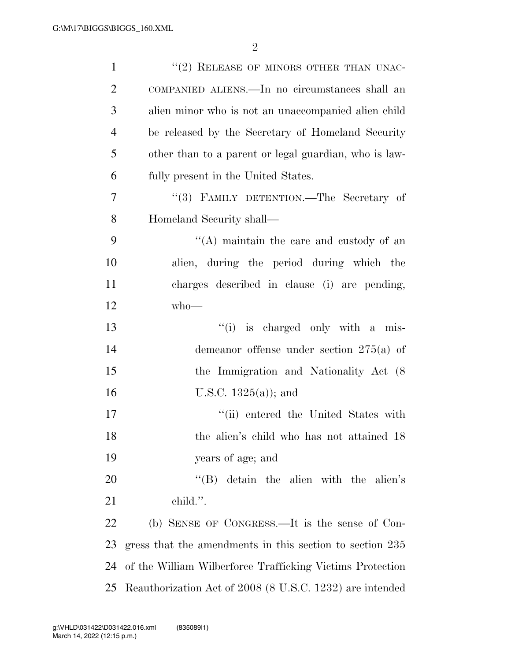2

| $\mathbf{1}$   | $"$ (2) RELEASE OF MINORS OTHER THAN UNAC-                |
|----------------|-----------------------------------------------------------|
| $\overline{2}$ | COMPANIED ALIENS.—In no circumstances shall an            |
| 3              | alien minor who is not an unaccompanied alien child       |
| $\overline{4}$ | be released by the Secretary of Homeland Security         |
| 5              | other than to a parent or legal guardian, who is law-     |
| 6              | fully present in the United States.                       |
| 7              | "(3) FAMILY DETENTION.—The Secretary of                   |
| 8              | Homeland Security shall—                                  |
| 9              | $\lq($ A) maintain the care and custody of an             |
| 10             | alien, during the period during which the                 |
| 11             | charges described in clause (i) are pending,              |
| 12             | $who$ —                                                   |
| 13             | "(i) is charged only with a mis-                          |
| 14             | demeanor offense under section $275(a)$ of                |
| 15             | the Immigration and Nationality Act (8)                   |
| 16             | U.S.C. $1325(a)$ ; and                                    |
| 17             | "(ii) entered the United States with                      |
| 18             | the alien's child who has not attained 18                 |
| 19             | years of age; and                                         |
| 20             | $\lq\lq$ detain the alien with the alien's                |
| 21             | child.".                                                  |
| 22             | (b) SENSE OF CONGRESS.—It is the sense of Con-            |
| 23             | gress that the amendments in this section to section 235  |
| 24             | of the William Wilberforce Trafficking Victims Protection |
| 25             | Reauthorization Act of 2008 (8 U.S.C. 1232) are intended  |